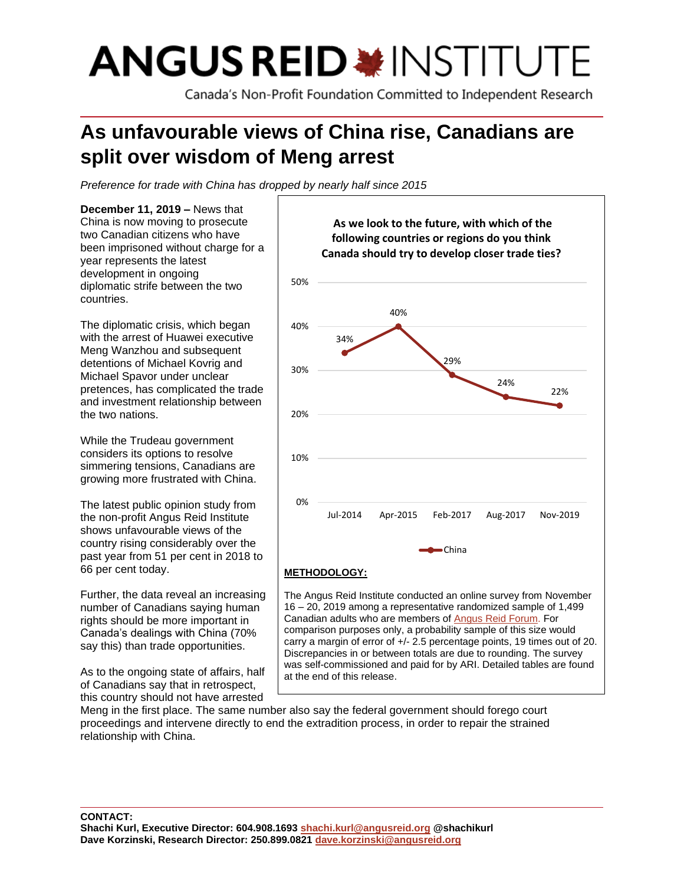# **ANGUS REID \*INSTITUTE**

Canada's Non-Profit Foundation Committed to Independent Research

# **As unfavourable views of China rise, Canadians are split over wisdom of Meng arrest**

*Preference for trade with China has dropped by nearly half since 2015*

**December 11, 2019 –** News that China is now moving to prosecute two Canadian citizens who have been imprisoned without charge for a year represents the latest development in ongoing diplomatic strife between the two countries.

The diplomatic crisis, which began with the arrest of Huawei executive Meng Wanzhou and subsequent detentions of Michael Kovrig and Michael Spavor under unclear pretences, has complicated the trade and investment relationship between the two nations.

While the Trudeau government considers its options to resolve simmering tensions, Canadians are growing more frustrated with China.

The latest public opinion study from the non-profit Angus Reid Institute shows unfavourable views of the country rising considerably over the past year from 51 per cent in 2018 to 66 per cent today.

Further, the data reveal an increasing number of Canadians saying human rights should be more important in Canada's dealings with China (70% say this) than trade opportunities.

As to the ongoing state of affairs, half of Canadians say that in retrospect, this country should not have arrested



Canadian adults who are members of [Angus](http://www.angusreidforum.com/) Reid Forum. For comparison purposes only, a probability sample of this size would carry a margin of error of +/- 2.5 percentage points, 19 times out of 20. Discrepancies in or between totals are due to rounding. The survey was self-commissioned and paid for by ARI. Detailed tables are found at the end of this release.

Meng in the first place. The same number also say the federal government should forego court proceedings and intervene directly to end the extradition process, in order to repair the strained relationship with China.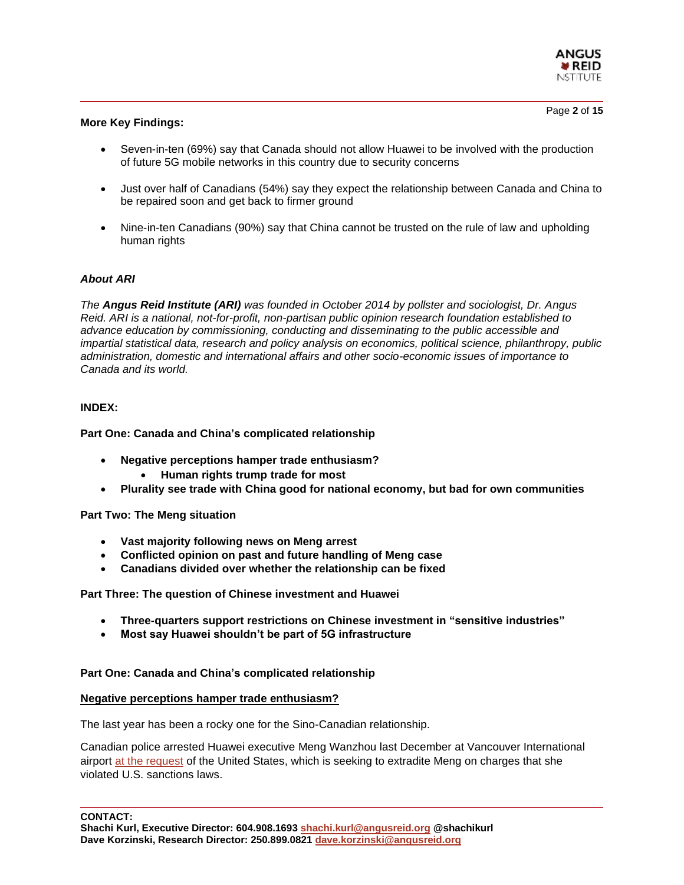

#### **More Key Findings:**

- Seven-in-ten (69%) say that Canada should not allow Huawei to be involved with the production of future 5G mobile networks in this country due to security concerns
- Just over half of Canadians (54%) say they expect the relationship between Canada and China to be repaired soon and get back to firmer ground
- Nine-in-ten Canadians (90%) say that China cannot be trusted on the rule of law and upholding human rights

# *About ARI*

*The Angus Reid Institute (ARI) was founded in October 2014 by pollster and sociologist, Dr. Angus Reid. ARI is a national, not-for-profit, non-partisan public opinion research foundation established to advance education by commissioning, conducting and disseminating to the public accessible and impartial statistical data, research and policy analysis on economics, political science, philanthropy, public administration, domestic and international affairs and other socio-economic issues of importance to Canada and its world.*

# **INDEX:**

#### **Part One: Canada and China's complicated relationship**

- **Negative perceptions hamper trade enthusiasm?**
	- **Human rights trump trade for most**
- **Plurality see trade with China good for national economy, but bad for own communities**

# **Part Two: The Meng situation**

- **Vast majority following news on Meng arrest**
- **Conflicted opinion on past and future handling of Meng case**
- **Canadians divided over whether the relationship can be fixed**

**Part Three: The question of Chinese investment and Huawei**

- **Three-quarters support restrictions on Chinese investment in "sensitive industries"**
- **Most say Huawei shouldn't be part of 5G infrastructure**

# **Part One: Canada and China's complicated relationship**

# **Negative perceptions hamper trade enthusiasm?**

The last year has been a rocky one for the Sino-Canadian relationship.

Canadian police arrested Huawei executive Meng Wanzhou last December at Vancouver International airport [at the request](https://www.washingtonpost.com/world/the_americas/canada-helped-the-us-arrest-meng-wanzhou-as-it-gets-punished-by-china-its-on-its-own/2019/05/07/c8152fbe-6d18-11e9-bbe7-1c798fb80536_story.html) of the United States, which is seeking to extradite Meng on charges that she violated U.S. sanctions laws.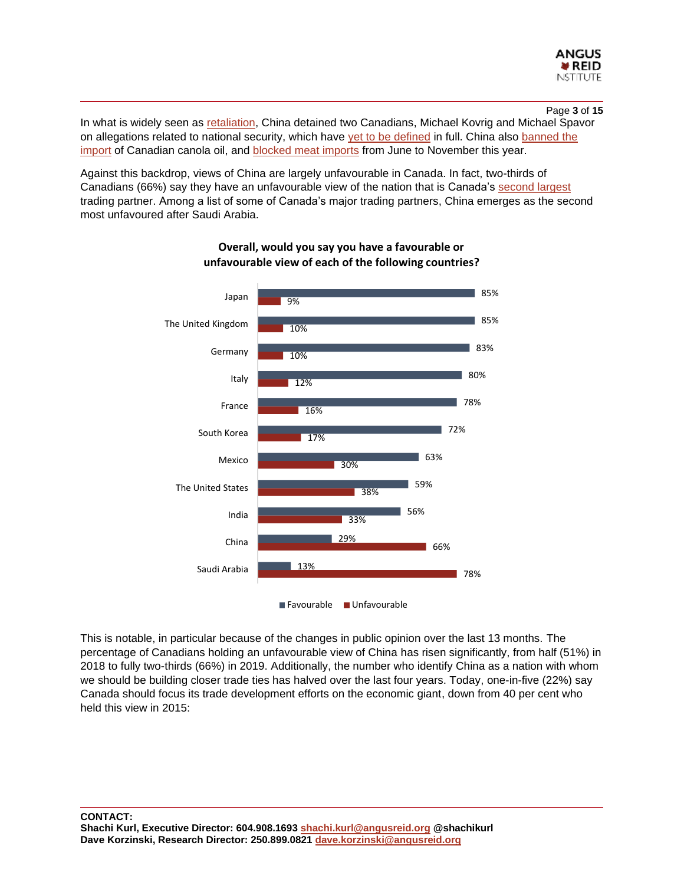

Page **3** of **15** In what is widely seen as [retaliation,](https://www.theglobeandmail.com/politics/article-john-manley-urges-prisoner-exchange-to-swap-huawei-executive-meng/) China detained two Canadians, Michael Kovrig and Michael Spavor on allegations related to national security, which have [yet to be defined](https://www.washingtonpost.com/world/the_americas/canada-helped-the-us-arrest-meng-wanzhou-as-it-gets-punished-by-china-its-on-its-own/2019/05/07/c8152fbe-6d18-11e9-bbe7-1c798fb80536_story.html) in full. China also [banned the](https://thestarphoenix.com/news/local-news/this-might-be-the-new-normal-canadian-canola-farmers-are-getting-used-to-life-without-china)  [import](https://thestarphoenix.com/news/local-news/this-might-be-the-new-normal-canadian-canola-farmers-are-getting-used-to-life-without-china) of Canadian canola oil, and [blocked meat imports](https://www.cbc.ca/news/politics/foreign-affairs-minister-wants-a-new-framework-on-canada-china-relations-1.5380190) from June to November this year.

Against this backdrop, views of China are largely unfavourable in Canada. In fact, two-thirds of Canadians (66%) say they have an unfavourable view of the nation that is Canada's [second largest](http://www.worldstopexports.com/canadas-top-import-partners/) trading partner. Among a list of some of Canada's major trading partners, China emerges as the second most unfavoured after Saudi Arabia.



**Overall, would you say you have a favourable or unfavourable view of each of the following countries?**

This is notable, in particular because of the changes in public opinion over the last 13 months. The percentage of Canadians holding an unfavourable view of China has risen significantly, from half (51%) in 2018 to fully two-thirds (66%) in 2019. Additionally, the number who identify China as a nation with whom we should be building closer trade ties has halved over the last four years. Today, one-in-five (22%) say Canada should focus its trade development efforts on the economic giant, down from 40 per cent who held this view in 2015: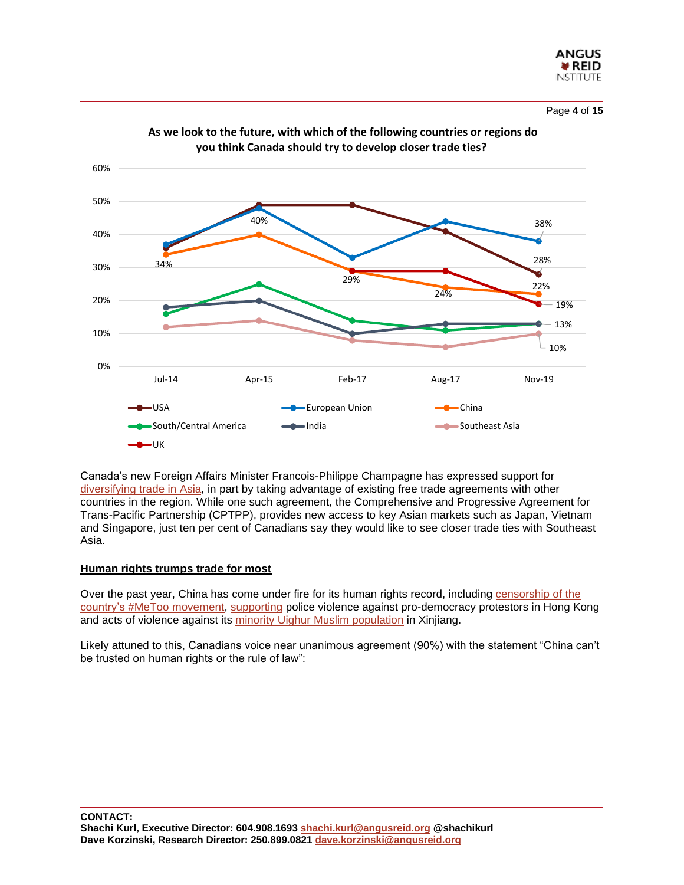

Page **4** of **15**

28% 38% 34% 40% 29% 24% 22% 13% 10% 19% 0% 10% 20% 30% 40% 50% 60% Jul-14 Apr-15 Feb-17 Aug-17 Nov-19 **you think Canada should try to develop closer trade ties?** ■USA European Union China South/Central America India Southeast Asia  $\rightarrow$ UK

**As we look to the future, with which of the following countries or regions do** 

Canada's new Foreign Affairs Minister Francois-Philippe Champagne has expressed support for [diversifying trade in Asia,](https://www.cbc.ca/news/politics/foreign-affairs-minister-wants-a-new-framework-on-canada-china-relations-1.5380190) in part by taking advantage of existing free trade agreements with other countries in the region. While one such agreement, the Comprehensive and Progressive Agreement for Trans-Pacific Partnership (CPTPP), provides new access to key Asian markets such as Japan, Vietnam and Singapore, just ten per cent of Canadians say they would like to see closer trade ties with Southeast Asia.

# **Human rights trumps trade for most**

Over the past year, China has come under fire for its human rights record, including censorship of the country's [#MeToo movement,](https://foreignpolicy.com/2019/01/10/chinas-metoo-activists-have-transformed-a-generation/) [supporting](https://www.scmp.com/news/china/politics/article/3034266/hong-kong-police-have-unwavering-support-beijing-says-after) police violence against pro-democracy protestors in Hong Kong and acts of violence against its [minority Uighur Muslim population](https://www.cbc.ca/news/canada/windsor/uighur-activist-china-cables-reaction-1.5373227) in Xinjiang.

Likely attuned to this, Canadians voice near unanimous agreement (90%) with the statement "China can't be trusted on human rights or the rule of law":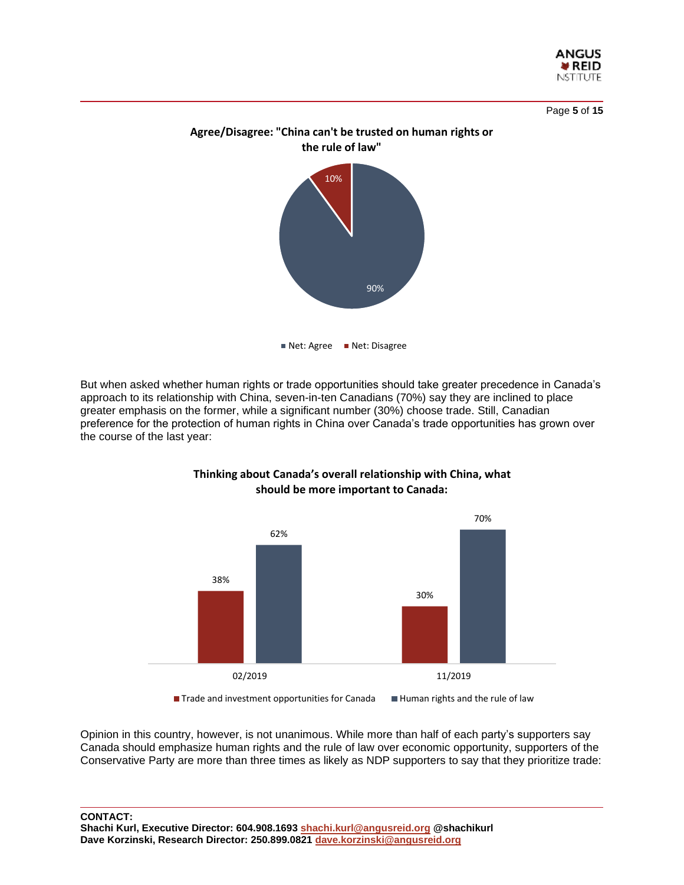

Page **5** of **15**



But when asked whether human rights or trade opportunities should take greater precedence in Canada's approach to its relationship with China, seven-in-ten Canadians (70%) say they are inclined to place greater emphasis on the former, while a significant number (30%) choose trade. Still, Canadian preference for the protection of human rights in China over Canada's trade opportunities has grown over the course of the last year:



**Thinking about Canada's overall relationship with China, what should be more important to Canada:** 

 $\blacksquare$  Trade and investment opportunities for Canada  $\blacksquare$  Human rights and the rule of law

Opinion in this country, however, is not unanimous. While more than half of each party's supporters say Canada should emphasize human rights and the rule of law over economic opportunity, supporters of the Conservative Party are more than three times as likely as NDP supporters to say that they prioritize trade: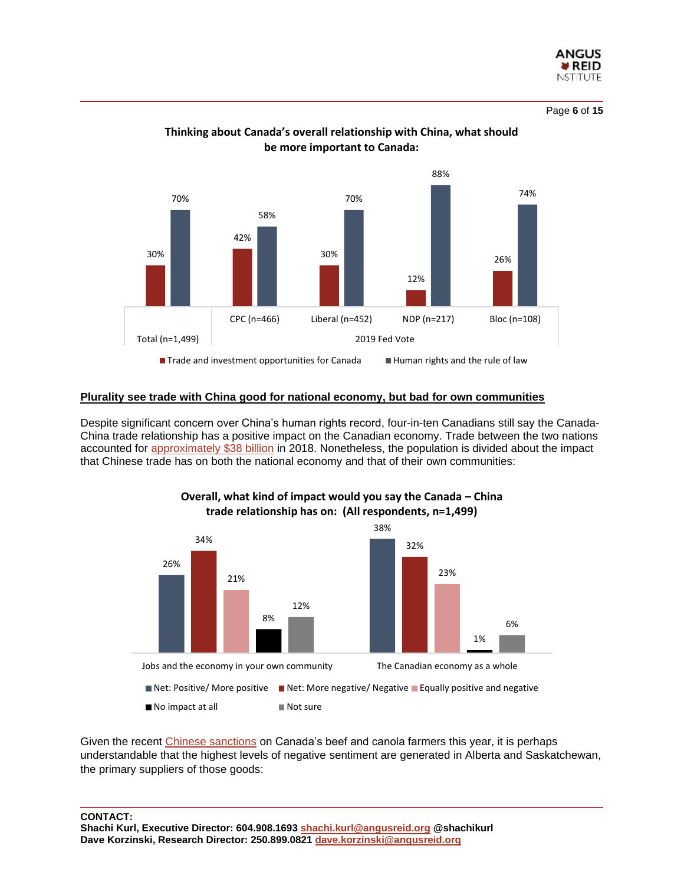

Page **6** of **15**



# **Thinking about Canada's overall relationship with China, what should be more important to Canada:**

# **Plurality see trade with China good for national economy, but bad for own communities**

Despite significant concern over China's human rights record, four-in-ten Canadians still say the Canada-China trade relationship has a positive impact on the Canadian economy. Trade between the two nations accounted for [approximately \\$38 billion](https://www.cnbc.com/2019/09/27/canada-will-take-harder-stance-on-china-no-matter-who-wins-the-election.html) in 2018. Nonetheless, the population is divided about the impact that Chinese trade has on both the national economy and that of their own communities:



**Overall, what kind of impact would you say the Canada – China trade relationship has on: (All respondents, n=1,499)**

Given the recent [Chinese sanctions](https://calgaryherald.com/business/business-wire/china-to-resume-imports-of-canadian-beef-and-pork) on Canada's beef and canola farmers this year, it is perhaps understandable that the highest levels of negative sentiment are generated in Alberta and Saskatchewan, the primary suppliers of those goods: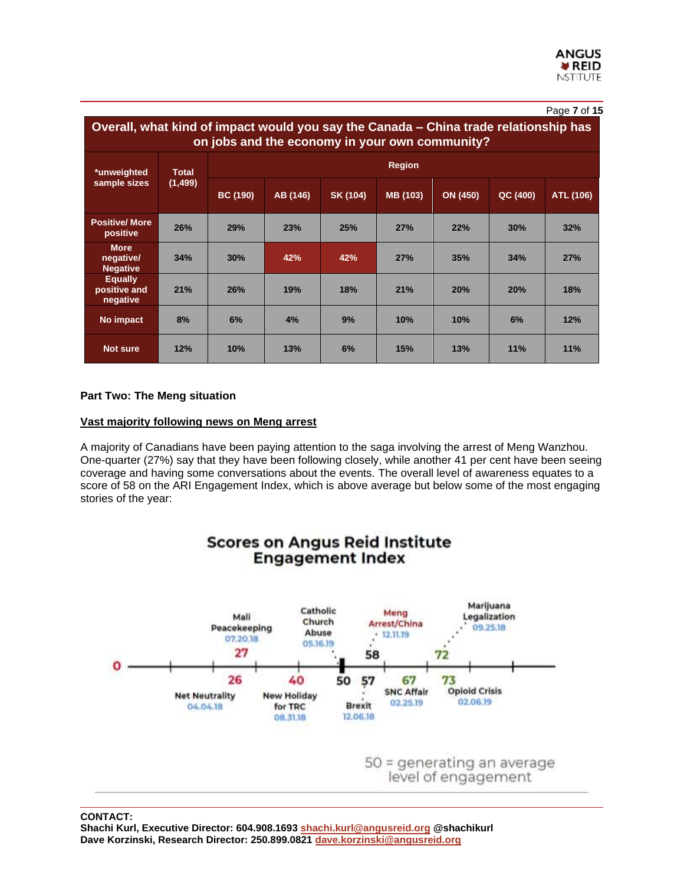|                                                                                                                                        |                          |                 |          |          |          |          |          | Page 7 of 15 |  |  |  |  |
|----------------------------------------------------------------------------------------------------------------------------------------|--------------------------|-----------------|----------|----------|----------|----------|----------|--------------|--|--|--|--|
| Overall, what kind of impact would you say the Canada – China trade relationship has<br>on jobs and the economy in your own community? |                          |                 |          |          |          |          |          |              |  |  |  |  |
| *unweighted                                                                                                                            | <b>Total</b><br>(1, 499) | <b>Region</b>   |          |          |          |          |          |              |  |  |  |  |
| sample sizes                                                                                                                           |                          | <b>BC (190)</b> | AB (146) | SK (104) | MB (103) | ON (450) | QC (400) | ATL (106)    |  |  |  |  |
| <b>Positive/ More</b><br>positive                                                                                                      | 26%                      | 29%             | 23%      | 25%      | 27%      | 22%      | 30%      | 32%          |  |  |  |  |
| <b>More</b><br>negative/<br><b>Negative</b>                                                                                            | 34%                      | 30%             | 42%      | 42%      | 27%      | 35%      | 34%      | 27%          |  |  |  |  |
| <b>Equally</b><br>positive and<br>negative                                                                                             | 21%                      | 26%             | 19%      | 18%      | 21%      | 20%      | 20%      | 18%          |  |  |  |  |
| No impact                                                                                                                              | 8%                       | 6%              | 4%       | 9%       | 10%      | 10%      | 6%       | 12%          |  |  |  |  |
| <b>Not sure</b>                                                                                                                        | 12%                      | 10%             | 13%      | 6%       | 15%      | 13%      | 11%      | 11%          |  |  |  |  |

# **Part Two: The Meng situation**

# **Vast majority following news on Meng arrest**

A majority of Canadians have been paying attention to the saga involving the arrest of Meng Wanzhou. One-quarter (27%) say that they have been following closely, while another 41 per cent have been seeing coverage and having some conversations about the events. The overall level of awareness equates to a score of 58 on the ARI Engagement Index, which is above average but below some of the most engaging stories of the year:

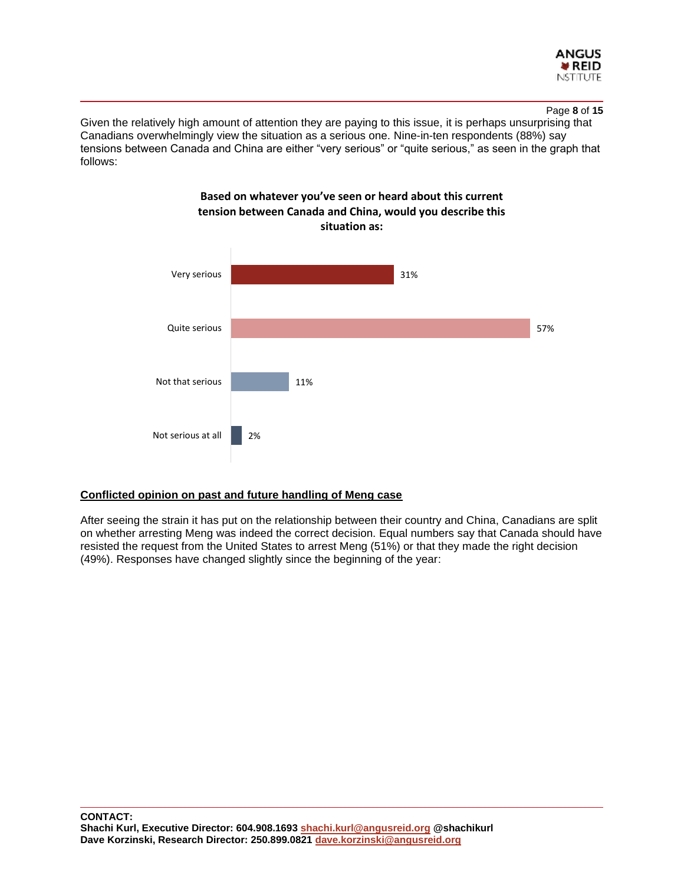

Given the relatively high amount of attention they are paying to this issue, it is perhaps unsurprising that Canadians overwhelmingly view the situation as a serious one. Nine-in-ten respondents (88%) say tensions between Canada and China are either "very serious" or "quite serious," as seen in the graph that follows:



# **Based on whatever you've seen or heard about this current tension between Canada and China, would you describe this**

# **Conflicted opinion on past and future handling of Meng case**

After seeing the strain it has put on the relationship between their country and China, Canadians are split on whether arresting Meng was indeed the correct decision. Equal numbers say that Canada should have resisted the request from the United States to arrest Meng (51%) or that they made the right decision (49%). Responses have changed slightly since the beginning of the year: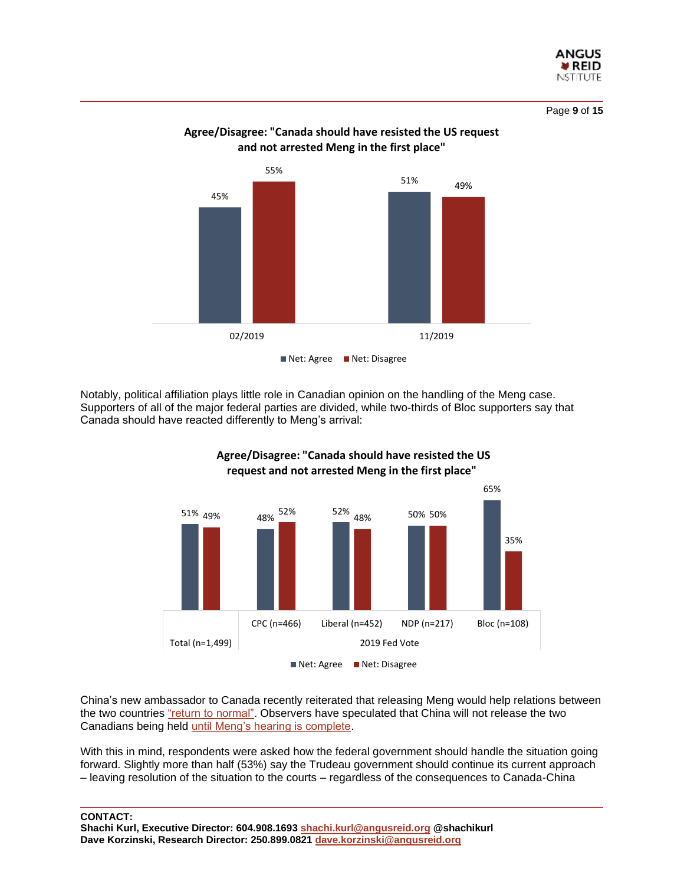

Page **9** of **15**



# **Agree/Disagree: "Canada should have resisted the US request and not arrested Meng in the first place"**

Notably, political affiliation plays little role in Canadian opinion on the handling of the Meng case. Supporters of all of the major federal parties are divided, while two-thirds of Bloc supporters say that Canada should have reacted differently to Meng's arrival:



# **Agree/Disagree: "Canada should have resisted the US request and not arrested Meng in the first place"**

China's new ambassador to Canada recently reiterated that releasing Meng would help relations between the two countries ["return to normal".](https://globalnews.ca/news/6205277/china-meng-wanzhou-canada/) Observers have speculated that China will not release the two Canadians being held [until Meng's hearing is complete.](https://globalnews.ca/news/5291920/canada-release-canadians-held-in-china-kovrig-spavor/)

With this in mind, respondents were asked how the federal government should handle the situation going forward. Slightly more than half (53%) say the Trudeau government should continue its current approach – leaving resolution of the situation to the courts – regardless of the consequences to Canada-China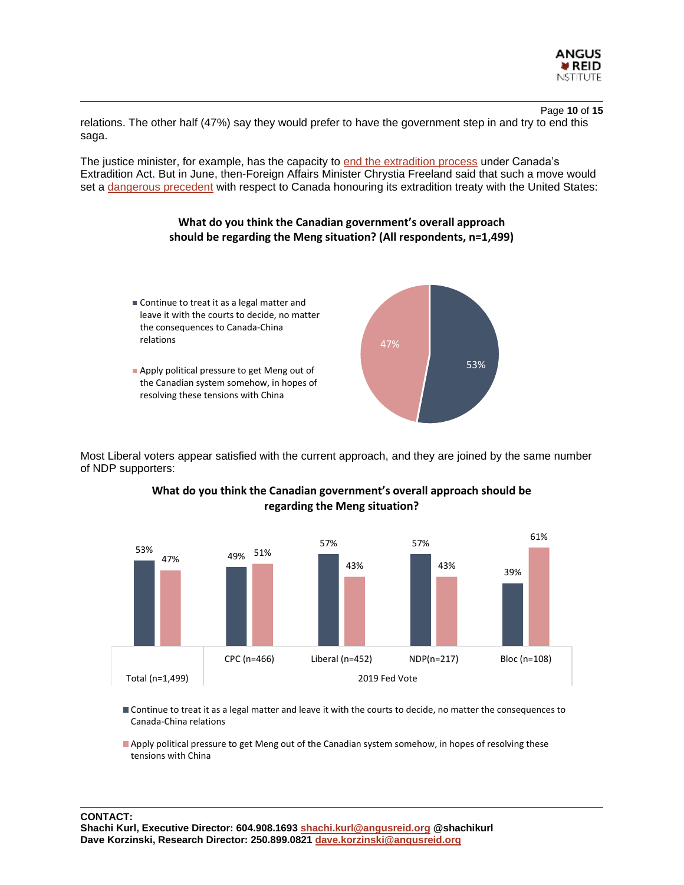

Page **10** of **15** relations. The other half (47%) say they would prefer to have the government step in and try to end this saga.

The justice minister, for example, has the capacity to end [the extradition process](https://globalnews.ca/news/5425389/meng-wanzhou-lawyers-call-trudeau-government-end-extradition-proceedings/) under Canada's Extradition Act. But in June, then-Foreign Affairs Minister Chrystia Freeland said that such a move would set a [dangerous precedent](https://globalnews.ca/news/5387310/chrystia-freeland-meng-wanzhou-extradition/) with respect to Canada honouring its extradition treaty with the United States:

# **What do you think the Canadian government's overall approach should be regarding the Meng situation? (All respondents, n=1,499)**



Most Liberal voters appear satisfied with the current approach, and they are joined by the same number of NDP supporters:



# **What do you think the Canadian government's overall approach should be regarding the Meng situation?**

- Continue to treat it as a legal matter and leave it with the courts to decide, no matter the consequences to Canada-China relations
- Apply political pressure to get Meng out of the Canadian system somehow, in hopes of resolving these tensions with China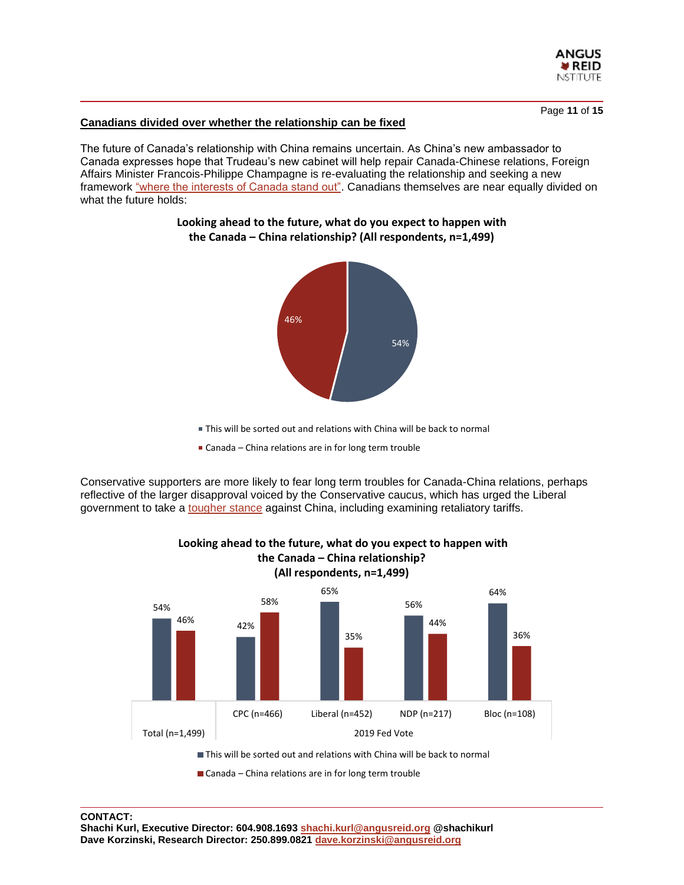

Page **11** of **15**

# **Canadians divided over whether the relationship can be fixed**

The future of Canada's relationship with China remains uncertain. As China's new ambassador to Canada expresses hope that Trudeau's new cabinet will help repair Canada-Chinese relations, Foreign Affairs Minister Francois-Philippe Champagne is re-evaluating the relationship and seeking a new framework ["where the interests of Canada stand out".](https://www.cbc.ca/news/politics/foreign-affairs-minister-wants-a-new-framework-on-canada-china-relations-1.5380190) Canadians themselves are near equally divided on what the future holds:



# **Looking ahead to the future, what do you expect to happen with the Canada – China relationship? (All respondents, n=1,499)**

- This will be sorted out and relations with China will be back to normal
- Canada China relations are in for long term trouble

Conservative supporters are more likely to fear long term troubles for Canada-China relations, perhaps reflective of the larger disapproval voiced by the Conservative caucus, which has urged the Liberal government to take a [tougher stance](https://ipolitics.ca/2019/12/04/conservatives-call-on-trudeau-government-to-increase-pressure-on-china-to-resolve-canola-ban/) against China, including examining retaliatory tariffs.



# **Looking ahead to the future, what do you expect to happen with the Canada – China relationship?**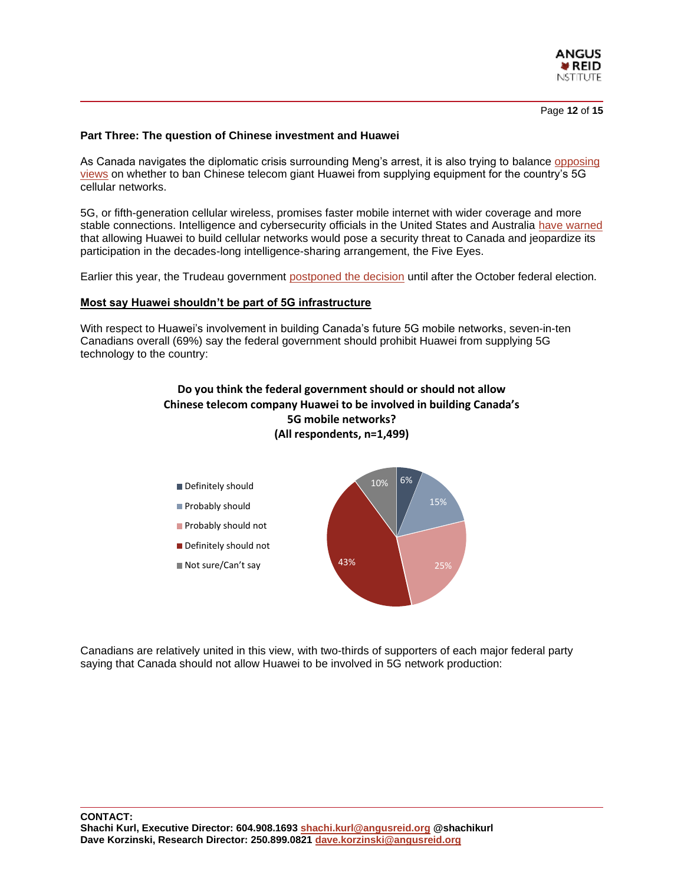

Page **12** of **15**

#### **Part Three: The question of Chinese investment and Huawei**

As Canada navigates the diplomatic crisis surrounding Meng's arrest, it is also trying to balance [opposing](https://www.theglobeandmail.com/politics/article-canadian-intelligence-agencies-disagree-on-whether-to-ban-huawei-from/)  [views](https://www.theglobeandmail.com/politics/article-canadian-intelligence-agencies-disagree-on-whether-to-ban-huawei-from/) on whether to ban Chinese telecom giant Huawei from supplying equipment for the country's 5G cellular networks.

5G, or fifth-generation cellular wireless, promises faster mobile internet with wider coverage and more stable connections. Intelligence and cybersecurity officials in the United States and Australia [have warned](https://www.cbc.ca/news/politics/canada-warned-of-fallout-on-five-eyes-relationship-if-huawei-allowed-on-5g-1.5370992) that allowing Huawei to build cellular networks would pose a security threat to Canada and jeopardize its participation in the decades-long intelligence-sharing arrangement, the Five Eyes.

Earlier this year, the Trudeau government [postponed the decision](https://globalnews.ca/news/5496654/canada-huawei-5g-decision/) until after the October federal election.

#### **Most say Huawei shouldn't be part of 5G infrastructure**

With respect to Huawei's involvement in building Canada's future 5G mobile networks, seven-in-ten Canadians overall (69%) say the federal government should prohibit Huawei from supplying 5G technology to the country:

# **Do you think the federal government should or should not allow Chinese telecom company Huawei to be involved in building Canada's 5G mobile networks? (All respondents, n=1,499)**



Canadians are relatively united in this view, with two-thirds of supporters of each major federal party saying that Canada should not allow Huawei to be involved in 5G network production: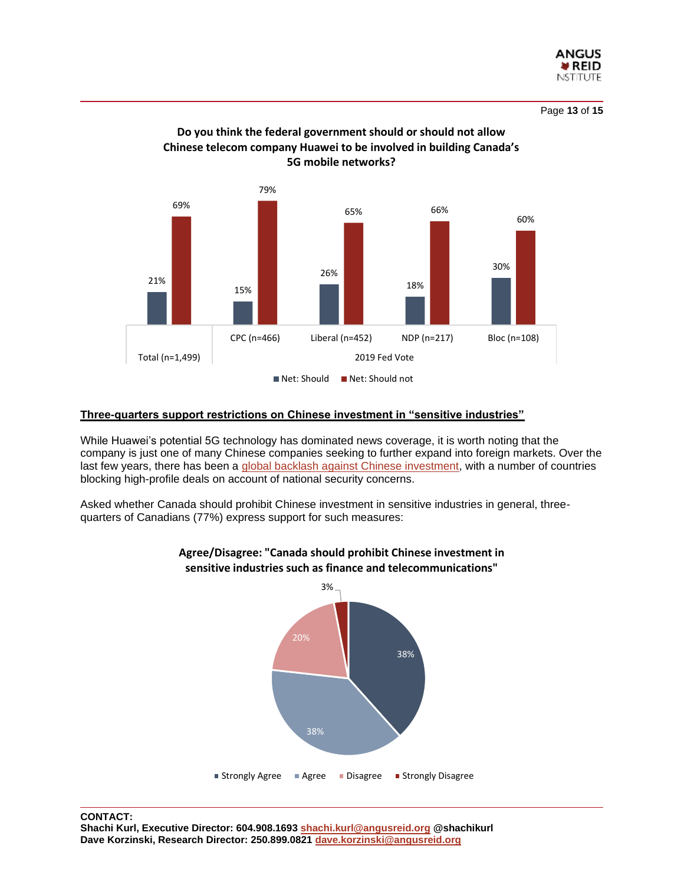

Page **13** of **15**



# **Do you think the federal government should or should not allow Chinese telecom company Huawei to be involved in building Canada's 5G mobile networks?**

# **Three-quarters support restrictions on Chinese investment in "sensitive industries"**

While Huawei's potential 5G technology has dominated news coverage, it is worth noting that the company is just one of many Chinese companies seeking to further expand into foreign markets. Over the last few years, there has been a [global backlash against Chinese investment,](https://www.nytimes.com/2019/10/28/business/china-investment-federal-employees.html) with a number of countries blocking high-profile deals on account of national security concerns.

Asked whether Canada should prohibit Chinese investment in sensitive industries in general, threequarters of Canadians (77%) express support for such measures:



# **Agree/Disagree: "Canada should prohibit Chinese investment in sensitive industries such as finance and telecommunications"**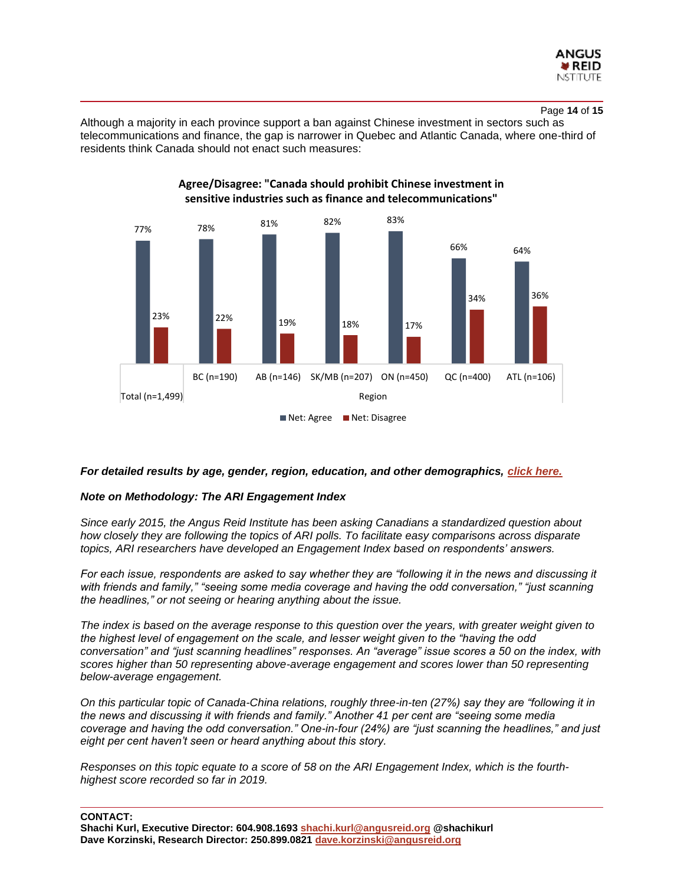

#### Page **14** of **15**

Although a majority in each province support a ban against Chinese investment in sectors such as telecommunications and finance, the gap is narrower in Quebec and Atlantic Canada, where one-third of residents think Canada should not enact such measures:

**Agree/Disagree: "Canada should prohibit Chinese investment in** 



#### *For detailed results by age, gender, region, education, and other demographics, [click here.](http://angusreid.org/wp-content/uploads/2019/12/2019.12.09_Meng_ReleaseTables.pdf)*

#### *Note on Methodology: The ARI Engagement Index*

*Since early 2015, the Angus Reid Institute has been asking Canadians a standardized question about how closely they are following the topics of ARI polls. To facilitate easy comparisons across disparate topics, ARI researchers have developed an Engagement Index based on respondents' answers.*

*For each issue, respondents are asked to say whether they are "following it in the news and discussing it with friends and family," "seeing some media coverage and having the odd conversation," "just scanning the headlines," or not seeing or hearing anything about the issue.*

*The index is based on the average response to this question over the years, with greater weight given to the highest level of engagement on the scale, and lesser weight given to the "having the odd conversation" and "just scanning headlines" responses. An "average" issue scores a 50 on the index, with scores higher than 50 representing above-average engagement and scores lower than 50 representing below-average engagement.*

*On this particular topic of Canada-China relations, roughly three-in-ten (27%) say they are "following it in the news and discussing it with friends and family." Another 41 per cent are "seeing some media coverage and having the odd conversation." One-in-four (24%) are "just scanning the headlines," and just eight per cent haven't seen or heard anything about this story.*

*Responses on this topic equate to a score of 58 on the ARI Engagement Index, which is the fourthhighest score recorded so far in 2019.*